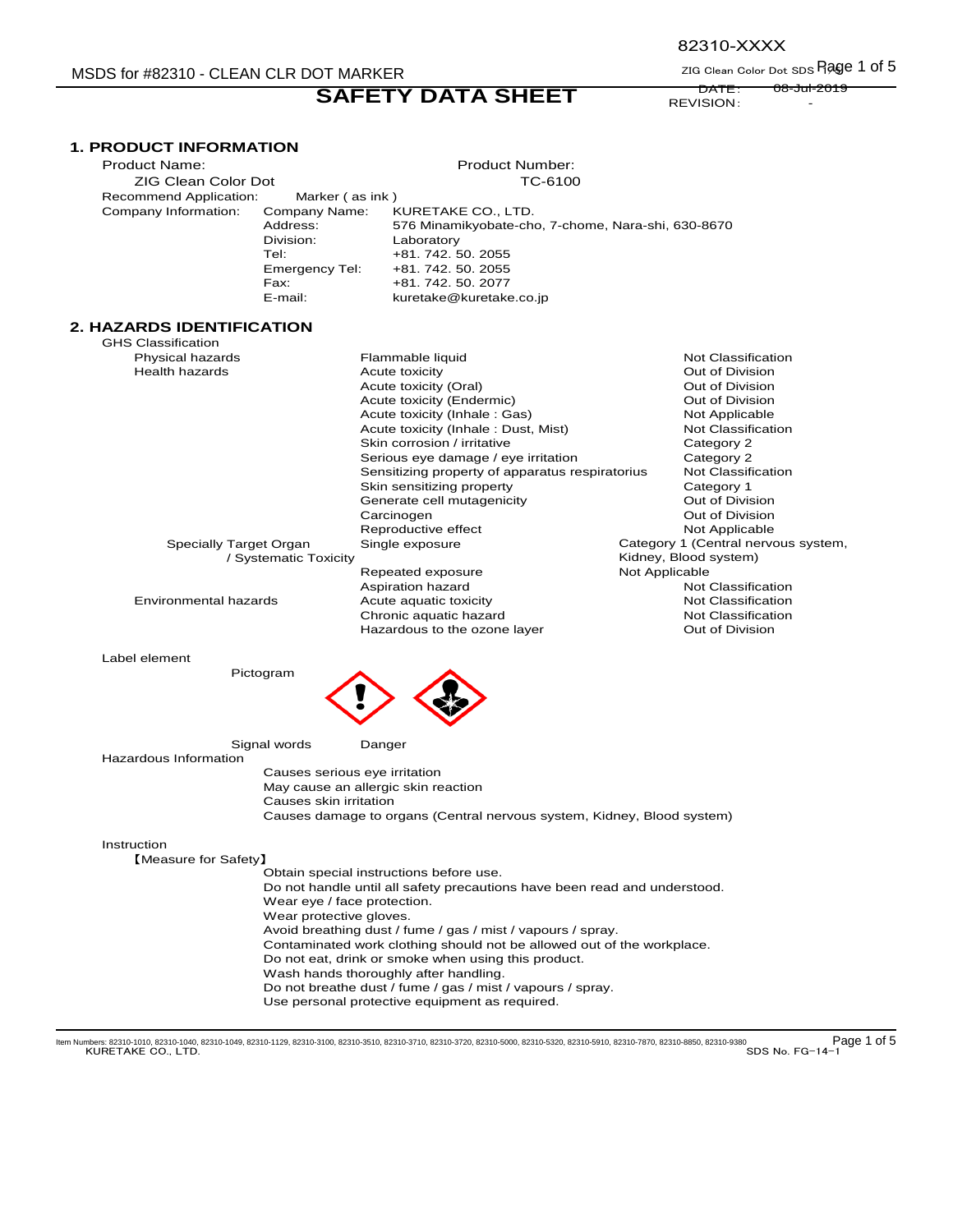## MSDS for #82310 - CLEAN CLR DOT MARKER

**SAFETY DATA SHEET** 

82310-XXXX

ZIG Clean Color Dot SDS Rage 1 of 5 DATE: 08-Jul-2019

REVISION: -

| <b>1. PRODUCT INFORMATION</b> |
|-------------------------------|
|                               |

| <b>Product Name:</b>         |                                                                          | Product Number:                                                                                                                                 |                                     |
|------------------------------|--------------------------------------------------------------------------|-------------------------------------------------------------------------------------------------------------------------------------------------|-------------------------------------|
| <b>ZIG Clean Color Dot</b>   |                                                                          | TC-6100                                                                                                                                         |                                     |
| Recommend Application:       | Marker (as ink)                                                          |                                                                                                                                                 |                                     |
| Company Information:         | Company Name:<br>Address:<br>Division:<br>Tel:<br>Emergency Tel:<br>Fax: | KURETAKE CO., LTD.<br>576 Minamikyobate-cho, 7-chome, Nara-shi, 630-8670<br>Laboratory<br>+81.742.50.2055<br>+81.742.50.2055<br>+81.742.50.2077 |                                     |
|                              | E-mail:                                                                  | kuretake@kuretake.co.jp                                                                                                                         |                                     |
| 2. HAZARDS IDENTIFICATION    |                                                                          |                                                                                                                                                 |                                     |
| <b>GHS Classification</b>    |                                                                          |                                                                                                                                                 |                                     |
| Physical hazards             |                                                                          | Flammable liquid                                                                                                                                | Not Classification                  |
| <b>Health hazards</b>        |                                                                          | Acute toxicity                                                                                                                                  | Out of Division                     |
|                              |                                                                          | Acute toxicity (Oral)                                                                                                                           | Out of Division                     |
|                              |                                                                          | Acute toxicity (Endermic)                                                                                                                       | Out of Division                     |
|                              |                                                                          | Acute toxicity (Inhale: Gas)                                                                                                                    | Not Applicable                      |
|                              |                                                                          | Acute toxicity (Inhale: Dust, Mist)                                                                                                             | Not Classification                  |
|                              |                                                                          | Skin corrosion / irritative                                                                                                                     | Category 2                          |
|                              |                                                                          | Serious eye damage / eye irritation                                                                                                             | Category 2                          |
|                              |                                                                          | Sensitizing property of apparatus respiratorius                                                                                                 | <b>Not Classification</b>           |
|                              |                                                                          | Skin sensitizing property                                                                                                                       | Category 1                          |
|                              |                                                                          | Generate cell mutagenicity                                                                                                                      | Out of Division                     |
|                              |                                                                          | Carcinogen                                                                                                                                      | Out of Division                     |
|                              |                                                                          | Reproductive effect                                                                                                                             | Not Applicable                      |
| Specially Target Organ       |                                                                          | Single exposure                                                                                                                                 | Category 1 (Central nervous system, |
|                              | / Systematic Toxicity                                                    |                                                                                                                                                 | Kidney, Blood system)               |
|                              |                                                                          | Repeated exposure                                                                                                                               | Not Applicable                      |
|                              |                                                                          | Aspiration hazard                                                                                                                               | <b>Not Classification</b>           |
| Environmental hazards        |                                                                          | Acute aquatic toxicity                                                                                                                          | Not Classification                  |
|                              |                                                                          | Chronic aquatic hazard                                                                                                                          | <b>Not Classification</b>           |
|                              |                                                                          | Hazardous to the ozone layer                                                                                                                    | Out of Division                     |
|                              |                                                                          |                                                                                                                                                 |                                     |
| Label element                |                                                                          |                                                                                                                                                 |                                     |
|                              | Pictogram                                                                |                                                                                                                                                 |                                     |
|                              |                                                                          |                                                                                                                                                 |                                     |
|                              | Signal words                                                             | Danger                                                                                                                                          |                                     |
| <b>Hazardous Information</b> |                                                                          |                                                                                                                                                 |                                     |
|                              | Causes serious eye irritation                                            |                                                                                                                                                 |                                     |
|                              |                                                                          | May cause an allergic skin reaction                                                                                                             |                                     |
|                              | Causes skin irritation                                                   |                                                                                                                                                 |                                     |
|                              |                                                                          | Causes damage to organs (Central nervous system, Kidney, Blood system)                                                                          |                                     |
|                              |                                                                          |                                                                                                                                                 |                                     |
| Instruction                  |                                                                          |                                                                                                                                                 |                                     |
| [Measure for Safety]         |                                                                          |                                                                                                                                                 |                                     |
|                              |                                                                          | Obtain special instructions before use.<br>Do not handle until all safety precautions have been read and understood.                            |                                     |
|                              |                                                                          |                                                                                                                                                 |                                     |
|                              | Wear eye / face protection.<br>Wear protective gloves.                   |                                                                                                                                                 |                                     |
|                              |                                                                          | Avoid breathing dust / fume / gas / mist / vapours / spray.                                                                                     |                                     |
|                              |                                                                          | Contaminated work clothing should not be allowed out of the workplace.                                                                          |                                     |
|                              |                                                                          | Do not eat, drink or smoke when using this product.                                                                                             |                                     |
|                              |                                                                          | Wash hands thoroughly after handling.                                                                                                           |                                     |
|                              |                                                                          | Do not breathe dust / fume / gas / mist / vapours / spray.                                                                                      |                                     |
|                              |                                                                          | Use personal protective equipment as required.                                                                                                  |                                     |
|                              |                                                                          |                                                                                                                                                 |                                     |

1 Page 1 of 5 Kum Numbers: 82310-1010, 82310-1040, 82310-1049, 82310-1129, 82310-3100, 82310-3510, 82310-3710, 82310-5000, 82310-5320, 82310-5910, 82310-5910, 82310-7870, 82310-8850, 82310-9380 RORETAKE CO., LTD. [17] KURE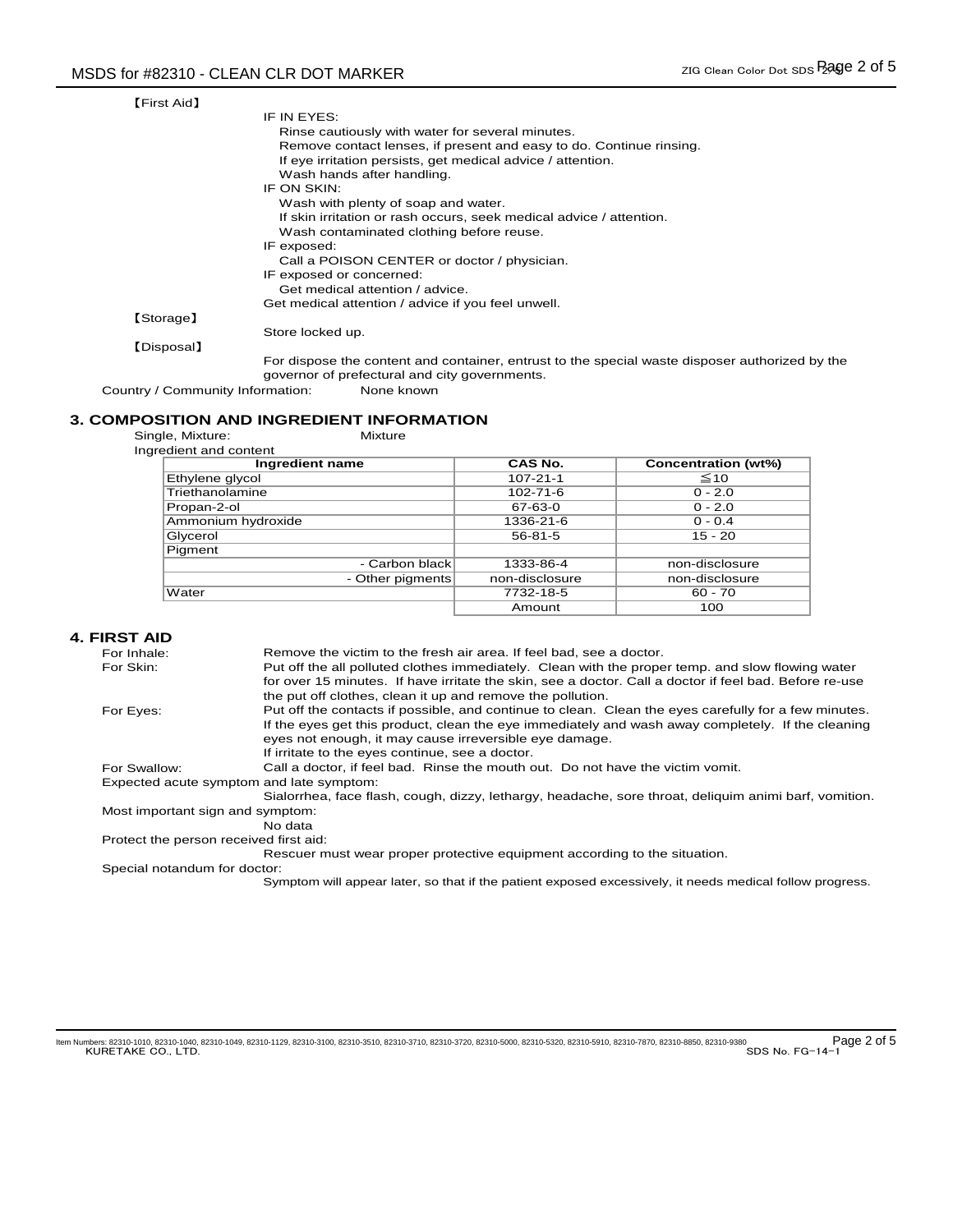| <b>【First Aid】</b> |                                                                                     |
|--------------------|-------------------------------------------------------------------------------------|
|                    | IF IN EYES:                                                                         |
|                    | Rinse cautiously with water for several minutes.                                    |
|                    | Remove contact lenses, if present and easy to do. Continue rinsing.                 |
|                    | If eye irritation persists, get medical advice / attention.                         |
|                    | Wash hands after handling.                                                          |
|                    | IF ON SKIN:                                                                         |
|                    | Wash with plenty of soap and water.                                                 |
|                    | If skin irritation or rash occurs, seek medical advice / attention.                 |
|                    | Wash contaminated clothing before reuse.                                            |
|                    | IF exposed:                                                                         |
|                    | Call a POISON CENTER or doctor / physician.                                         |
|                    | IF exposed or concerned:                                                            |
|                    | Get medical attention / advice.                                                     |
|                    | Get medical attention / advice if you feel unwell.                                  |
| [Storage]          |                                                                                     |
|                    | Store locked up.                                                                    |
| [Disposal]         |                                                                                     |
|                    | Ear dianong the contant and container, entrust to the special waste dianonar qutbor |

For dispose the content and container, entrust to the special waste disposer authorized by the governor of prefectural and city governments.

Country / Community Information: None known

# **3. COMPOSITION AND INGREDIENT INFORMATION**<br>Single, Mixture: Mixture Mixture

Single, Mixture: Mixture

| Ingredient and content |                |                     |
|------------------------|----------------|---------------------|
| Ingredient name        | CAS No.        | Concentration (wt%) |
| Ethylene glycol        | $107 - 21 - 1$ | $\leq 10$           |
| Triethanolamine        | $102 - 71 - 6$ | $0 - 2.0$           |
| Propan-2-ol            | 67-63-0        | $0 - 2.0$           |
| Ammonium hydroxide     | 1336-21-6      | $0 - 0.4$           |
| Glycerol               | 56-81-5        | $15 - 20$           |
| Pigment                |                |                     |
| - Carbon black         | 1333-86-4      | non-disclosure      |
| - Other pigments       | non-disclosure | non-disclosure      |
| Water                  | 7732-18-5      | $60 - 70$           |
|                        | Amount         | 100                 |

#### **4. FIRST AID**

| For Inhale:                              | Remove the victim to the fresh air area. If feel bad, see a doctor.                                      |
|------------------------------------------|----------------------------------------------------------------------------------------------------------|
| For Skin:                                | Put off the all polluted clothes immediately. Clean with the proper temp, and slow flowing water         |
|                                          | for over 15 minutes. If have irritate the skin, see a doctor. Call a doctor if feel bad. Before re-use   |
|                                          | the put off clothes, clean it up and remove the pollution.                                               |
| For Eyes:                                | Put off the contacts if possible, and continue to clean. Clean the eyes carefully for a few minutes.     |
|                                          | If the eyes get this product, clean the eye immediately and wash away completely. If the cleaning        |
|                                          | eyes not enough, it may cause irreversible eye damage.                                                   |
|                                          | If irritate to the eyes continue, see a doctor.                                                          |
| For Swallow:                             | Call a doctor, if feel bad. Rinse the mouth out. Do not have the victim vomit.                           |
| Expected acute symptom and late symptom: |                                                                                                          |
|                                          | Sialorrhea, face flash, cough, dizzy, lethargy, headache, sore throat, deliguim animi barf, vomition.    |
| Most important sign and symptom:         |                                                                                                          |
|                                          | No data                                                                                                  |
| Protect the person received first aid:   |                                                                                                          |
|                                          | Rescuer must wear proper protective equipment according to the situation.                                |
| Special notandum for doctor:             |                                                                                                          |
|                                          | Symptom will appear later, so that if the patient exposed excessively, it needs medical follow progress. |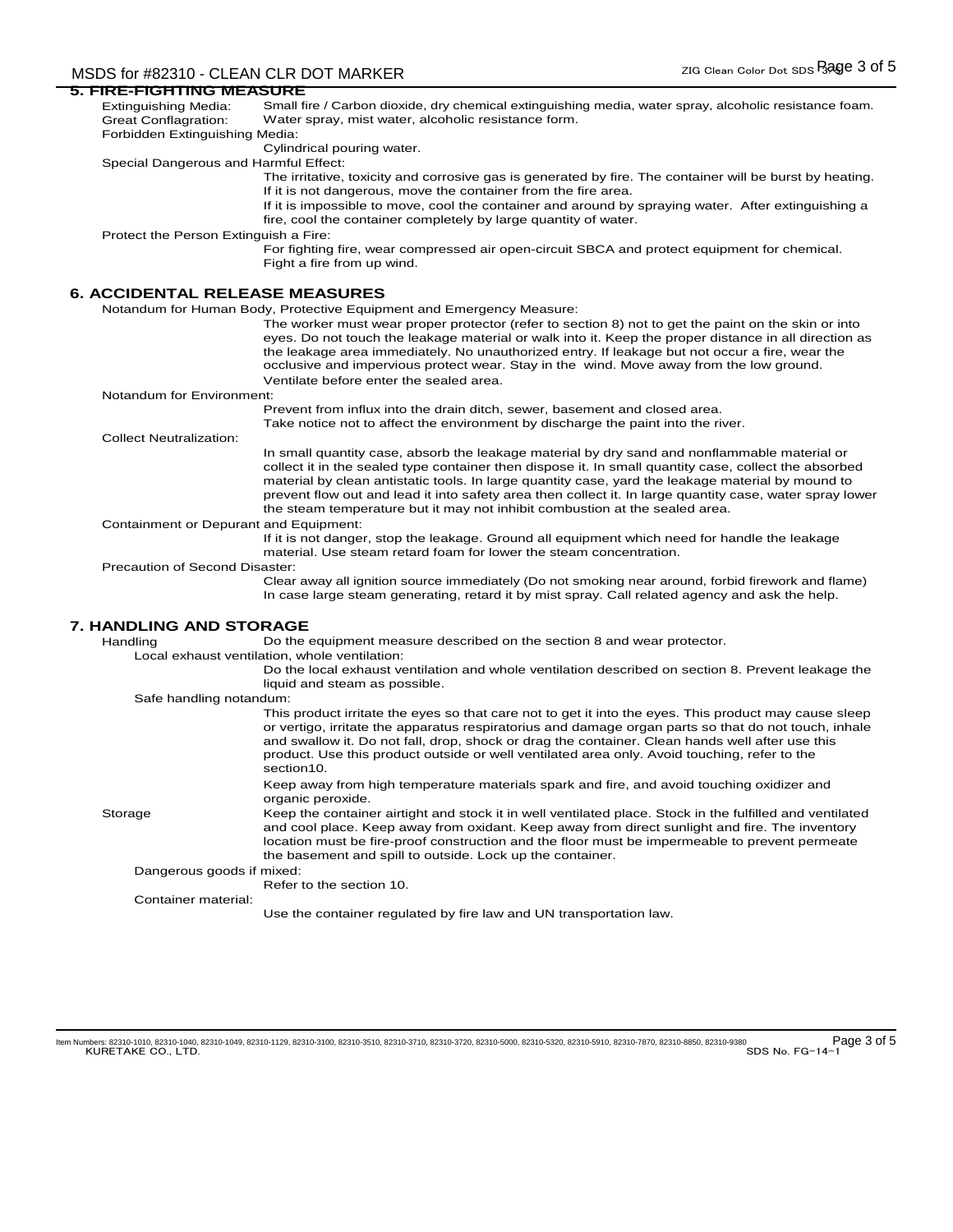## MSDS for #82310 - CLEAN CLR DOT MARKER zig Clean Color Dot SDS Bage 3 of 5

| <u>5. FIRE-FIGHTING MEASURE</u>       |                                                                                                          |
|---------------------------------------|----------------------------------------------------------------------------------------------------------|
| Extinguishing Media:                  | Small fire / Carbon dioxide, dry chemical extinguishing media, water spray, alcoholic resistance foam.   |
| <b>Great Conflagration:</b>           | Water spray, mist water, alcoholic resistance form.                                                      |
| Forbidden Extinguishing Media:        |                                                                                                          |
|                                       | Cylindrical pouring water.                                                                               |
| Special Dangerous and Harmful Effect: |                                                                                                          |
|                                       | The irritative, toxicity and corrosive gas is generated by fire. The container will be burst by heating. |
|                                       | If it is not dangerous, move the container from the fire area.                                           |
|                                       | If it is impossible to move, cool the container and around by spraying water. After extinguishing a      |
|                                       | fire, cool the container completely by large quantity of water.                                          |
| Protect the Person Extinguish a Fire: |                                                                                                          |
|                                       | For fighting fire, wear compressed air open-circuit SBCA and protect equipment for chemical.             |
|                                       | Fight a fire from up wind.                                                                               |
|                                       |                                                                                                          |
| <b>6. ACCIDENTAL RELEASE MEASURES</b> |                                                                                                          |

Notandum for Human Body, Protective Equipment and Emergency Measure:

| The worker must wear proper protector (refer to section 8) not to get the paint on the skin or into   |
|-------------------------------------------------------------------------------------------------------|
| eyes. Do not touch the leakage material or walk into it. Keep the proper distance in all direction as |
| the leakage area immediately. No unauthorized entry. If leakage but not occur a fire, wear the        |
| occlusive and impervious protect wear. Stay in the wind. Move away from the low ground.               |
| Ventilate before enter the sealed area.                                                               |

#### Notandum for Environment:

Take notice not to affect the environment by discharge the paint into the river. Prevent from influx into the drain ditch, sewer, basement and closed area.

Collect Neutralization:

In small quantity case, absorb the leakage material by dry sand and nonflammable material or collect it in the sealed type container then dispose it. In small quantity case, collect the absorbed material by clean antistatic tools. In large quantity case, yard the leakage material by mound to prevent flow out and lead it into safety area then collect it. In large quantity case, water spray lower the steam temperature but it may not inhibit combustion at the sealed area.

#### Containment or Depurant and Equipment:

If it is not danger, stop the leakage. Ground all equipment which need for handle the leakage material. Use steam retard foam for lower the steam concentration.

#### Precaution of Second Disaster:

Clear away all ignition source immediately (Do not smoking near around, forbid firework and flame) In case large steam generating, retard it by mist spray. Call related agency and ask the help.

### **7. HANDLING AND STORAGE**

Handling Do the equipment measure described on the section 8 and wear protector.

Local exhaust ventilation, whole ventilation:

Do the local exhaust ventilation and whole ventilation described on section 8. Prevent leakage the liquid and steam as possible.

#### Safe handling notandum:

**Storage** Dangerous goods if mixed: Container material: This product irritate the eyes so that care not to get it into the eyes. This product may cause sleep or vertigo, irritate the apparatus respiratorius and damage organ parts so that do not touch, inhale and swallow it. Do not fall, drop, shock or drag the container. Clean hands well after use this product. Use this product outside or well ventilated area only. Avoid touching, refer to the section10. Keep away from high temperature materials spark and fire, and avoid touching oxidizer and organic peroxide. Keep the container airtight and stock it in well ventilated place. Stock in the fulfilled and ventilated and cool place. Keep away from oxidant. Keep away from direct sunlight and fire. The inventory location must be fire-proof construction and the floor must be impermeable to prevent permeate the basement and spill to outside. Lock up the container. Refer to the section 10. Use the container regulated by fire law and UN transportation law.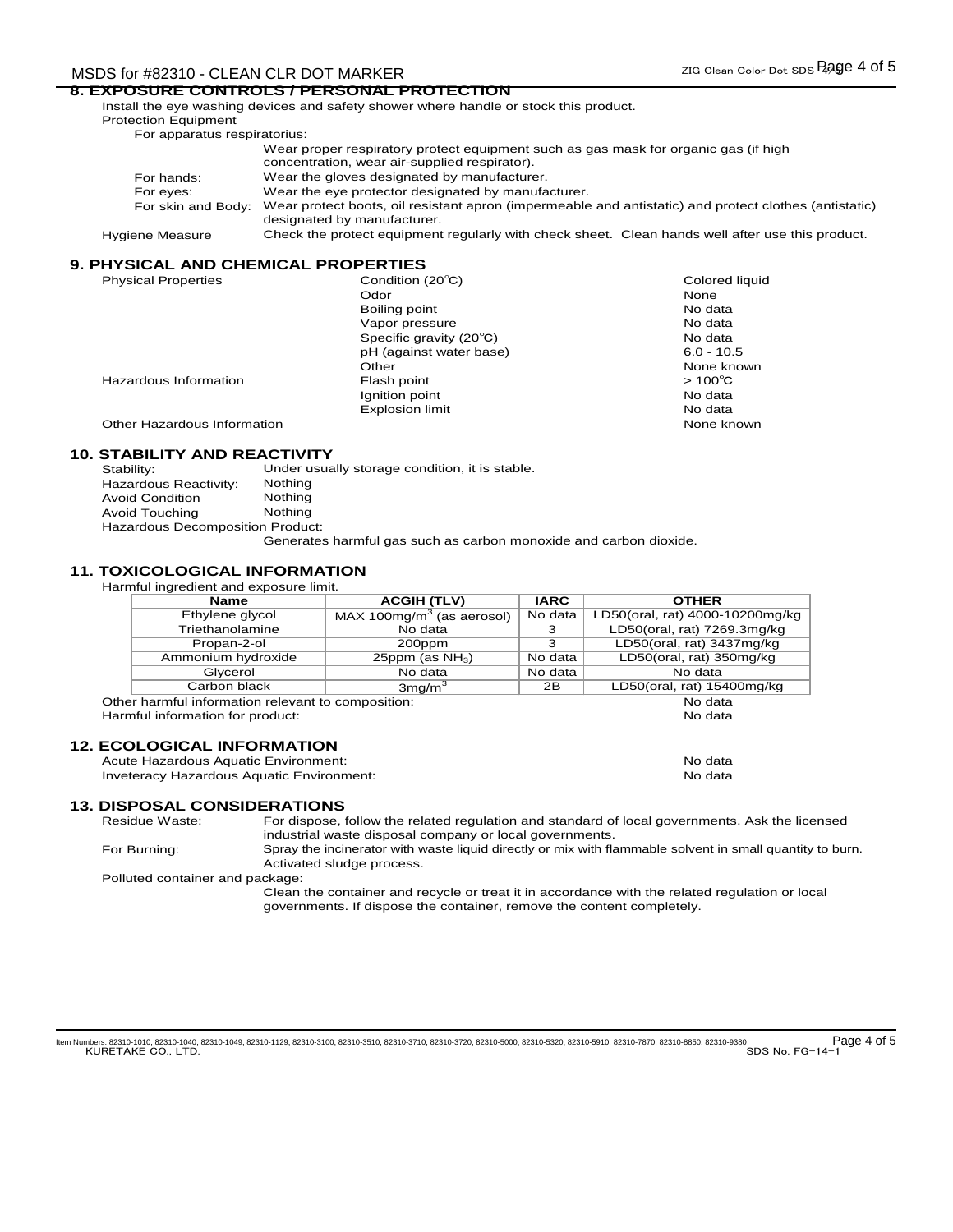## MSDS for #82310 - CLEAN CLR DOT MARKER zig Clean Color Dot SDS Rage 4 of 5

## **8. EXPOSURE CONTROLS / PERSONAL PROTECTION**

Install the eye washing devices and safety shower where handle or stock this product. Protection Equipment For apparatus respiratorius:

|                 | Wear proper respiratory protect equipment such as gas mask for organic gas (if high<br>concentration, wear air-supplied respirator).                    |
|-----------------|---------------------------------------------------------------------------------------------------------------------------------------------------------|
|                 |                                                                                                                                                         |
| For hands:      | Wear the gloves designated by manufacturer.                                                                                                             |
| For eyes:       | Wear the eye protector designated by manufacturer.                                                                                                      |
|                 | For skin and Body: Wear protect boots, oil resistant apron (impermeable and antistatic) and protect clothes (antistatic)<br>designated by manufacturer. |
| Hygiene Measure | Check the protect equipment regularly with check sheet. Clean hands well after use this product.                                                        |

### **9. PHYSICAL AND CHEMICAL PROPERTIES**

| <b>Physical Properties</b>  | Condition (20°C)        | Colored liquid   |
|-----------------------------|-------------------------|------------------|
|                             | Odor                    | None             |
|                             | Boiling point           | No data          |
|                             | Vapor pressure          | No data          |
|                             | Specific gravity (20°C) | No data          |
|                             | pH (against water base) | $6.0 - 10.5$     |
|                             | Other                   | None known       |
| Hazardous Information       | Flash point             | $>100^{\circ}$ C |
|                             | Ignition point          | No data          |
|                             | Explosion limit         | No data          |
| Other Hazardous Information |                         | None known       |

## **10. STABILITY AND REACTIVITY**

| Stability:                              | Under usually storage condition, it is stable. |
|-----------------------------------------|------------------------------------------------|
| Hazardous Reactivity:                   | Nothing                                        |
| <b>Avoid Condition</b>                  | Nothing                                        |
| Avoid Touching                          | Nothing                                        |
| <b>Hazardous Decomposition Product:</b> |                                                |
|                                         |                                                |

Generates harmful gas such as carbon monoxide and carbon dioxide.

### **11. TOXICOLOGICAL INFORMATION**

| <b>Name</b>                                        | <b>ACGIH (TLV)</b>          | <b>IARC</b> | <b>OTHER</b>                    |
|----------------------------------------------------|-----------------------------|-------------|---------------------------------|
| Ethylene glycol                                    | $MAX 100mg/m3$ (as aerosol) | No data     | LD50(oral, rat) 4000-10200mg/kg |
| Triethanolamine                                    | No data                     | З           | LD50(oral, rat) 7269.3mg/kg     |
| Propan-2-ol                                        | 200ppm                      | з           | LD50(oral, rat) 3437mg/kg       |
| Ammonium hydroxide                                 | 25ppm (as $NH3$ )           | No data     | LD50(oral, rat) 350mg/kg        |
| Glycerol                                           | No data                     | No data     | No data                         |
| Carbon black                                       | $3$ mg/m $3$                | 2B          | LD50(oral, rat) 15400mg/kg      |
| Other harmful information relevant to composition: |                             |             | No data                         |
| Harmful information for product:                   |                             |             | No data                         |
|                                                    |                             |             |                                 |

### **12. ECOLOGICAL INFORMATION**

Acute Hazardous Aquatic Environment: No data November 2012 and No data Inveteracy Hazardous Aquatic Environment: No data

#### **13. DISPOSAL CONSIDERATIONS**

Residue Waste:

For dispose, follow the related regulation and standard of local governments. Ask the licensed industrial waste disposal company or local governments.

For Burning: Spray the incinerator with waste liquid directly or mix with flammable solvent in small quantity to burn. Activated sludge process.

Polluted container and package:

Clean the container and recycle or treat it in accordance with the related regulation or local governments. If dispose the container, remove the content completely.